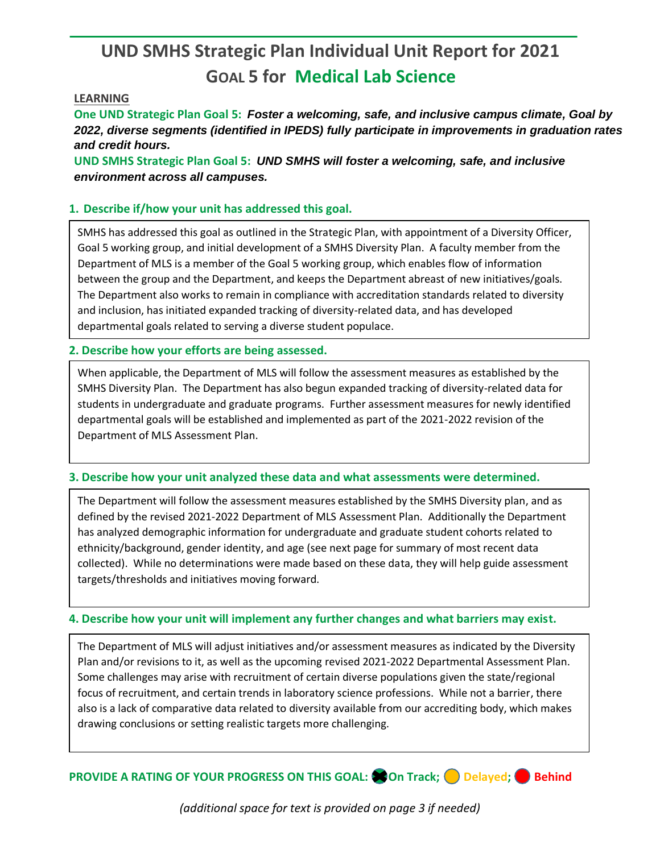# **UND SMHS Strategic Plan Individual Unit Report for 2021 GOAL 5 for Medical Lab Science**

## **LEARNING**

**One UND Strategic Plan Goal 5:** *Foster a welcoming, safe, and inclusive campus climate, Goal by 2022, diverse segments (identified in IPEDS) fully participate in improvements in graduation rates and credit hours.*

**UND SMHS Strategic Plan Goal 5:** *UND SMHS will foster a welcoming, safe, and inclusive environment across all campuses.*

## **1. Describe if/how your unit has addressed this goal.**

SMHS has addressed this goal as outlined in the Strategic Plan, with appointment of a Diversity Officer, Goal 5 working group, and initial development of a SMHS Diversity Plan. A faculty member from the Department of MLS is a member of the Goal 5 working group, which enables flow of information between the group and the Department, and keeps the Department abreast of new initiatives/goals. The Department also works to remain in compliance with accreditation standards related to diversity and inclusion, has initiated expanded tracking of diversity-related data, and has developed departmental goals related to serving a diverse student populace.

#### **2. Describe how your efforts are being assessed.**

When applicable, the Department of MLS will follow the assessment measures as established by the SMHS Diversity Plan. The Department has also begun expanded tracking of diversity-related data for students in undergraduate and graduate programs. Further assessment measures for newly identified departmental goals will be established and implemented as part of the 2021-2022 revision of the Department of MLS Assessment Plan.

#### **3. Describe how your unit analyzed these data and what assessments were determined.**

The Department will follow the assessment measures established by the SMHS Diversity plan, and as defined by the revised 2021-2022 Department of MLS Assessment Plan. Additionally the Department has analyzed demographic information for undergraduate and graduate student cohorts related to ethnicity/background, gender identity, and age (see next page for summary of most recent data collected). While no determinations were made based on these data, they will help guide assessment targets/thresholds and initiatives moving forward.

#### **4. Describe how your unit will implement any further changes and what barriers may exist.**

The Department of MLS will adjust initiatives and/or assessment measures as indicated by the Diversity Plan and/or revisions to it, as well as the upcoming revised 2021-2022 Departmental Assessment Plan. Some challenges may arise with recruitment of certain diverse populations given the state/regional focus of recruitment, and certain trends in laboratory science professions. While not a barrier, there also is a lack of comparative data related to diversity available from our accrediting body, which makes drawing conclusions or setting realistic targets more challenging.

**PROVIDE A RATING OF YOUR PROGRESS ON THIS GOAL: CON Track; Delayed; Behind** 

*(additional space for text is provided on page 3 if needed)*